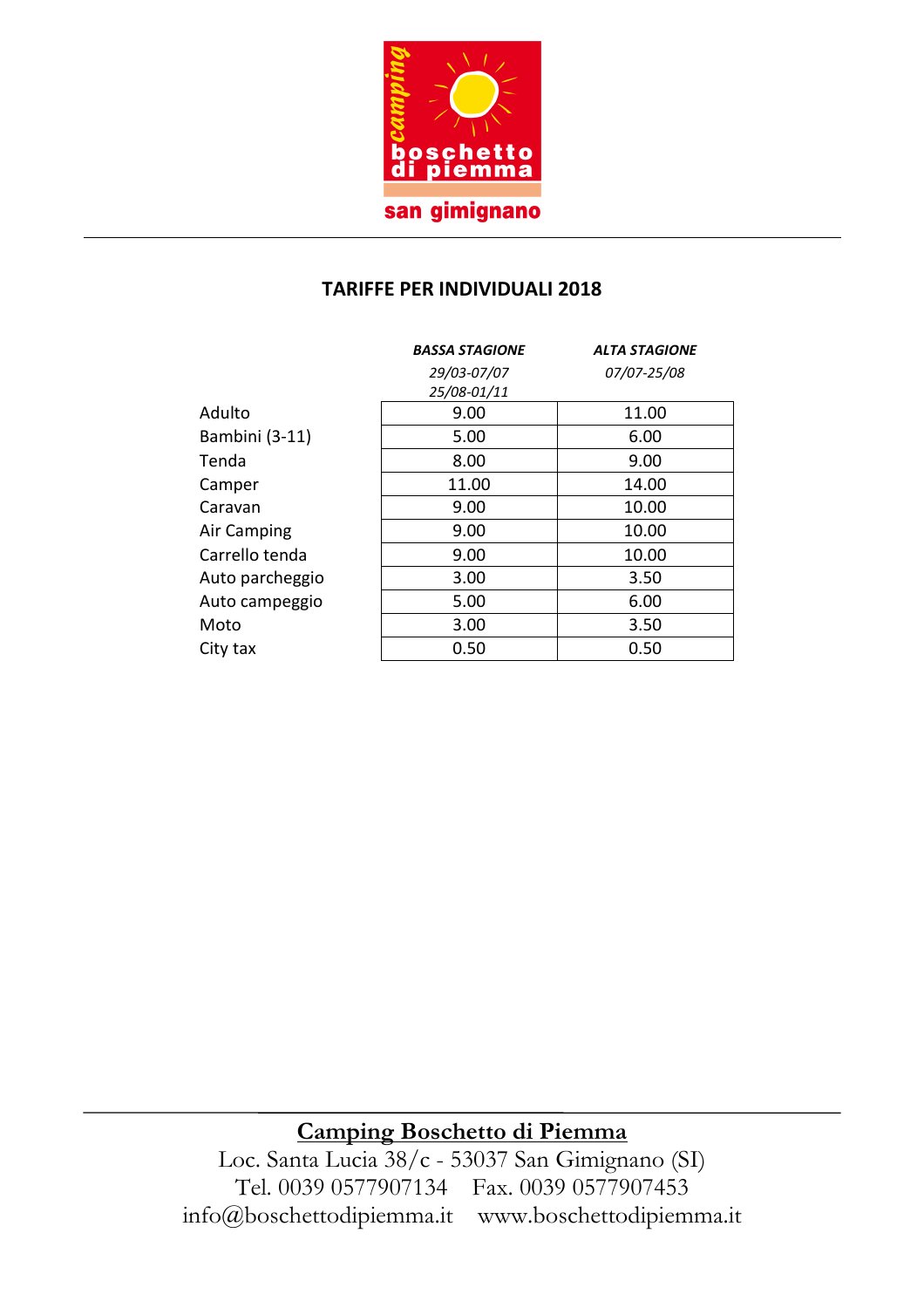

### **TARIFFE PER INDIVIDUALI 2018**

|                 | <b>BASSA STAGIONE</b> | <b>ALTA STAGIONE</b> |  |
|-----------------|-----------------------|----------------------|--|
|                 | 29/03-07/07           | 07/07-25/08          |  |
|                 | 25/08-01/11           |                      |  |
| Adulto          | 9.00                  | 11.00                |  |
| Bambini (3-11)  | 5.00                  | 6.00                 |  |
| Tenda           | 8.00                  | 9.00                 |  |
| Camper          | 11.00                 | 14.00                |  |
| Caravan         | 9.00                  | 10.00                |  |
| Air Camping     | 9.00<br>10.00         |                      |  |
| Carrello tenda  | 9.00                  | 10.00                |  |
| Auto parcheggio | 3.00                  | 3.50                 |  |
| Auto campeggio  | 5.00                  | 6.00                 |  |
| Moto            | 3.00                  | 3.50                 |  |
| City tax        | 0.50                  | 0.50                 |  |

## **Camping Boschetto di Piemma**

Loc. Santa Lucia 38/c - 53037 San Gimignano (SI) Tel. 0039 0577907134 Fax. 0039 0577907453 info@boschettodipiemma.it www.boschettodipiemma.it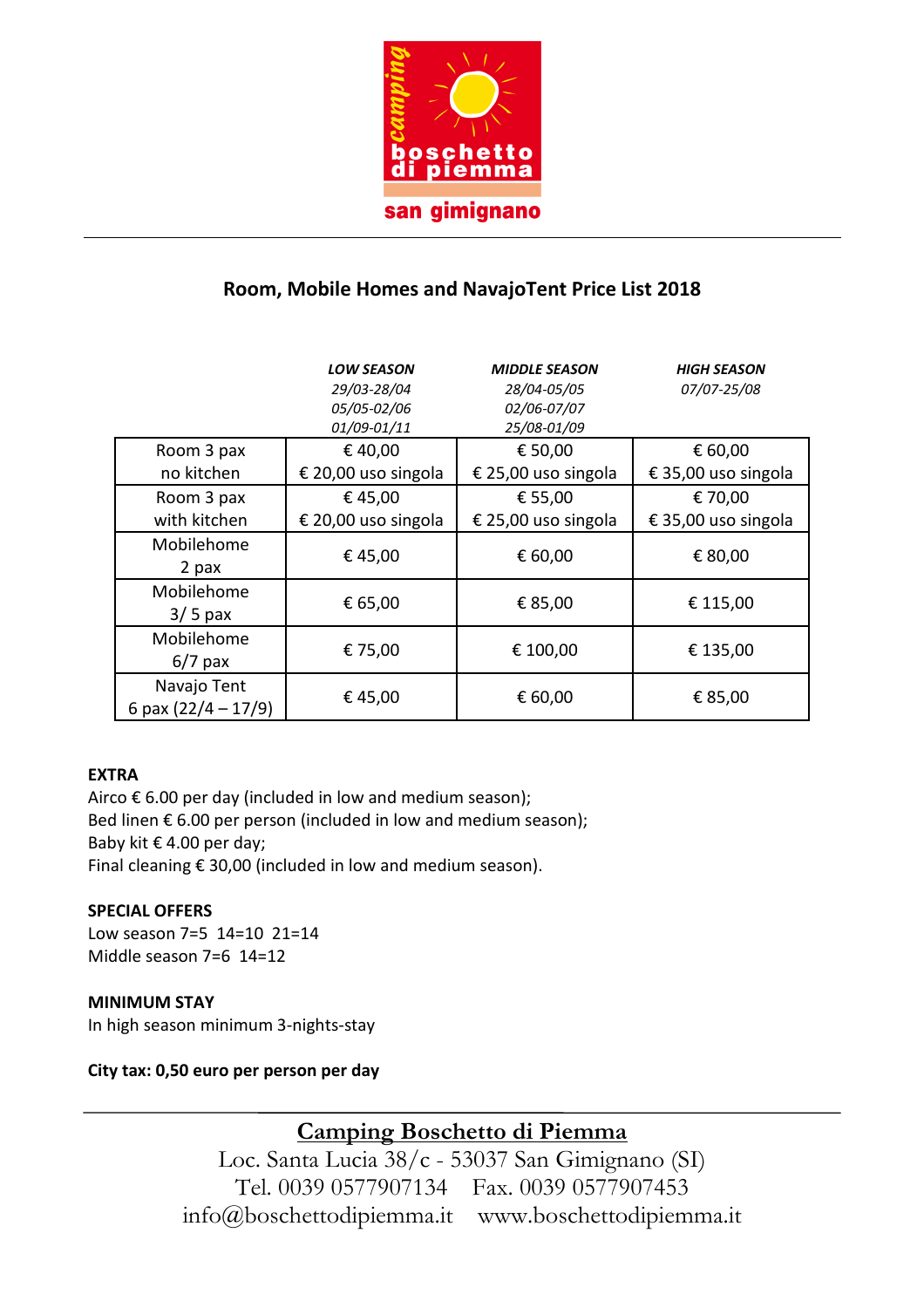

## **Room, Mobile Homes and NavajoTent Price List 2018**

|                                          | <b>LOW SEASON</b><br>29/03-28/04<br>05/05-02/06<br>01/09-01/11 | <b>MIDDLE SEASON</b><br>28/04-05/05<br>02/06-07/07<br>25/08-01/09 | <b>HIGH SEASON</b><br>07/07-25/08                     |
|------------------------------------------|----------------------------------------------------------------|-------------------------------------------------------------------|-------------------------------------------------------|
| Room 3 pax                               | €40,00                                                         | € 50,00                                                           | € 60,00                                               |
| no kitchen<br>Room 3 pax<br>with kitchen | € 20,00 uso singola<br>€45,00<br>€ 20,00 uso singola           | € 25,00 uso singola<br>€ 55,00<br>€ 25,00 uso singola             | € 35,00 uso singola<br>€ 70,00<br>€ 35,00 uso singola |
| Mobilehome<br>2 pax                      | €45,00                                                         | € 60,00                                                           | € 80,00                                               |
| Mobilehome<br>$3/5$ pax                  | € 65,00                                                        | € 85,00                                                           | € 115,00                                              |
| Mobilehome<br>$6/7$ pax                  | € 75,00                                                        | € 100,00                                                          | € 135,00                                              |
| Navajo Tent<br>6 pax $(22/4 - 17/9)$     | €45,00                                                         | € 60,00                                                           | € 85,00                                               |

### **EXTRA**

Airco  $\epsilon$  6.00 per day (included in low and medium season); Bed linen  $\epsilon$  6.00 per person (included in low and medium season); Baby kit € 4.00 per day; Final cleaning € 30,00 (included in low and medium season).

#### **SPECIAL OFFERS**

Low season 7=5 14=10 21=14 Middle season 7=6 14=12

#### **MINIMUM STAY**

In high season minimum 3-nights-stay

#### **City tax: 0,50 euro per person per day**

**Camping Boschetto di Piemma** 

Loc. Santa Lucia 38/c - 53037 San Gimignano (SI) Tel. 0039 0577907134 Fax. 0039 0577907453 info@boschettodipiemma.it www.boschettodipiemma.it